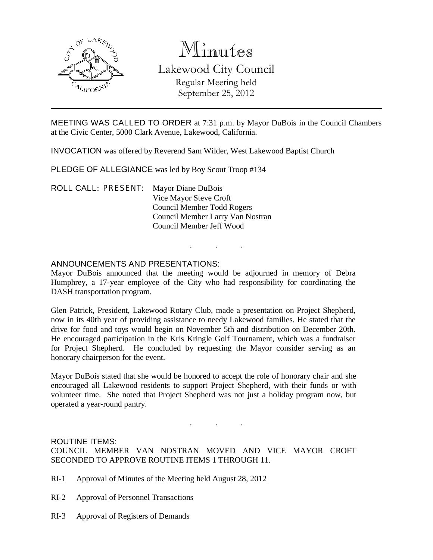

# Minutes

Lakewood City Council Regular Meeting held September 25, 2012

MEETING WAS CALLED TO ORDER at 7:31 p.m. by Mayor DuBois in the Council Chambers at the Civic Center, 5000 Clark Avenue, Lakewood, California.

INVOCATION was offered by Reverend Sam Wilder, West Lakewood Baptist Church

PLEDGE OF ALLEGIANCE was led by Boy Scout Troop #134

ROLL CALL: PRESENT: Mayor Diane DuBois Vice Mayor Steve Croft Council Member Todd Rogers Council Member Larry Van Nostran Council Member Jeff Wood

# ANNOUNCEMENTS AND PRESENTATIONS:

Mayor DuBois announced that the meeting would be adjourned in memory of Debra Humphrey, a 17-year employee of the City who had responsibility for coordinating the DASH transportation program.

. . .

Glen Patrick, President, Lakewood Rotary Club, made a presentation on Project Shepherd, now in its 40th year of providing assistance to needy Lakewood families. He stated that the drive for food and toys would begin on November 5th and distribution on December 20th. He encouraged participation in the Kris Kringle Golf Tournament, which was a fundraiser for Project Shepherd. He concluded by requesting the Mayor consider serving as an honorary chairperson for the event.

Mayor DuBois stated that she would be honored to accept the role of honorary chair and she encouraged all Lakewood residents to support Project Shepherd, with their funds or with volunteer time. She noted that Project Shepherd was not just a holiday program now, but operated a year-round pantry.

#### ROUTINE ITEMS:

COUNCIL MEMBER VAN NOSTRAN MOVED AND VICE MAYOR CROFT SECONDED TO APPROVE ROUTINE ITEMS 1 THROUGH 11.

. . .

- RI-1 Approval of Minutes of the Meeting held August 28, 2012
- RI-2 Approval of Personnel Transactions
- RI-3 Approval of Registers of Demands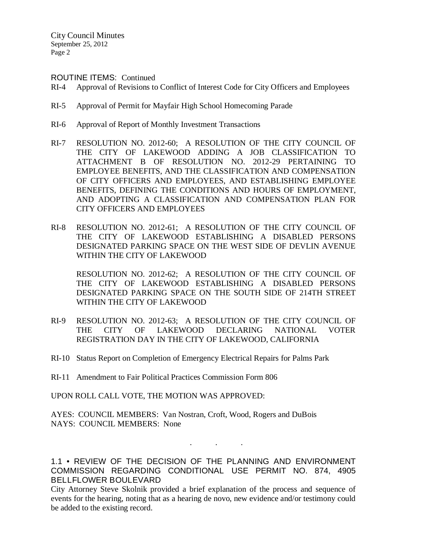City Council Minutes September 25, 2012 Page 2

ROUTINE ITEMS: Continued

- RI-4 Approval of Revisions to Conflict of Interest Code for City Officers and Employees
- RI-5 Approval of Permit for Mayfair High School Homecoming Parade
- RI-6 Approval of Report of Monthly Investment Transactions
- RI-7 RESOLUTION NO. 2012-60; A RESOLUTION OF THE CITY COUNCIL OF THE CITY OF LAKEWOOD ADDING A JOB CLASSIFICATION TO ATTACHMENT B OF RESOLUTION NO. 2012-29 PERTAINING TO EMPLOYEE BENEFITS, AND THE CLASSIFICATION AND COMPENSATION OF CITY OFFICERS AND EMPLOYEES, AND ESTABLISHING EMPLOYEE BENEFITS, DEFINING THE CONDITIONS AND HOURS OF EMPLOYMENT, AND ADOPTING A CLASSIFICATION AND COMPENSATION PLAN FOR CITY OFFICERS AND EMPLOYEES
- RI-8 RESOLUTION NO. 2012-61; A RESOLUTION OF THE CITY COUNCIL OF THE CITY OF LAKEWOOD ESTABLISHING A DISABLED PERSONS DESIGNATED PARKING SPACE ON THE WEST SIDE OF DEVLIN AVENUE WITHIN THE CITY OF LAKEWOOD

RESOLUTION NO. 2012-62; A RESOLUTION OF THE CITY COUNCIL OF THE CITY OF LAKEWOOD ESTABLISHING A DISABLED PERSONS DESIGNATED PARKING SPACE ON THE SOUTH SIDE OF 214TH STREET WITHIN THE CITY OF LAKEWOOD

- RI-9 RESOLUTION NO. 2012-63; A RESOLUTION OF THE CITY COUNCIL OF THE CITY OF LAKEWOOD DECLARING NATIONAL VOTER REGISTRATION DAY IN THE CITY OF LAKEWOOD, CALIFORNIA
- RI-10 Status Report on Completion of Emergency Electrical Repairs for Palms Park
- RI-11 Amendment to Fair Political Practices Commission Form 806

UPON ROLL CALL VOTE, THE MOTION WAS APPROVED:

AYES: COUNCIL MEMBERS: Van Nostran, Croft, Wood, Rogers and DuBois NAYS: COUNCIL MEMBERS: None

1.1 • REVIEW OF THE DECISION OF THE PLANNING AND ENVIRONMENT COMMISSION REGARDING CONDITIONAL USE PERMIT NO. 874, 4905 BELLFLOWER BOULEVARD

. . .

City Attorney Steve Skolnik provided a brief explanation of the process and sequence of events for the hearing, noting that as a hearing de novo, new evidence and/or testimony could be added to the existing record.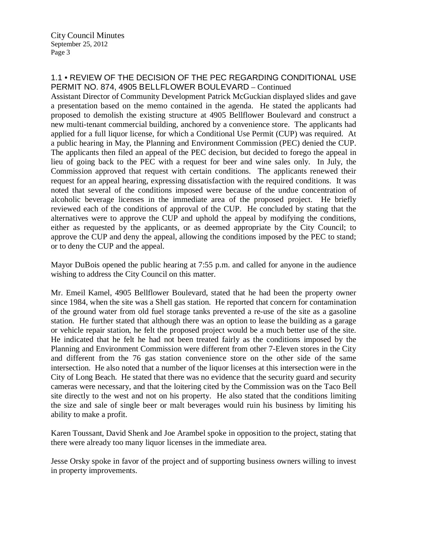# 1.1 • REVIEW OF THE DECISION OF THE PEC REGARDING CONDITIONAL USE PERMIT NO. 874, 4905 BELLFLOWER BOULEVARD – Continued

Assistant Director of Community Development Patrick McGuckian displayed slides and gave a presentation based on the memo contained in the agenda. He stated the applicants had proposed to demolish the existing structure at 4905 Bellflower Boulevard and construct a new multi-tenant commercial building, anchored by a convenience store. The applicants had applied for a full liquor license, for which a Conditional Use Permit (CUP) was required. At a public hearing in May, the Planning and Environment Commission (PEC) denied the CUP. The applicants then filed an appeal of the PEC decision, but decided to forego the appeal in lieu of going back to the PEC with a request for beer and wine sales only. In July, the Commission approved that request with certain conditions. The applicants renewed their request for an appeal hearing, expressing dissatisfaction with the required conditions. It was noted that several of the conditions imposed were because of the undue concentration of alcoholic beverage licenses in the immediate area of the proposed project. He briefly reviewed each of the conditions of approval of the CUP. He concluded by stating that the alternatives were to approve the CUP and uphold the appeal by modifying the conditions, either as requested by the applicants, or as deemed appropriate by the City Council; to approve the CUP and deny the appeal, allowing the conditions imposed by the PEC to stand; or to deny the CUP and the appeal.

Mayor DuBois opened the public hearing at 7:55 p.m. and called for anyone in the audience wishing to address the City Council on this matter.

Mr. Emeil Kamel, 4905 Bellflower Boulevard, stated that he had been the property owner since 1984, when the site was a Shell gas station. He reported that concern for contamination of the ground water from old fuel storage tanks prevented a re-use of the site as a gasoline station. He further stated that although there was an option to lease the building as a garage or vehicle repair station, he felt the proposed project would be a much better use of the site. He indicated that he felt he had not been treated fairly as the conditions imposed by the Planning and Environment Commission were different from other 7-Eleven stores in the City and different from the 76 gas station convenience store on the other side of the same intersection. He also noted that a number of the liquor licenses at this intersection were in the City of Long Beach. He stated that there was no evidence that the security guard and security cameras were necessary, and that the loitering cited by the Commission was on the Taco Bell site directly to the west and not on his property. He also stated that the conditions limiting the size and sale of single beer or malt beverages would ruin his business by limiting his ability to make a profit.

Karen Toussant, David Shenk and Joe Arambel spoke in opposition to the project, stating that there were already too many liquor licenses in the immediate area.

Jesse Orsky spoke in favor of the project and of supporting business owners willing to invest in property improvements.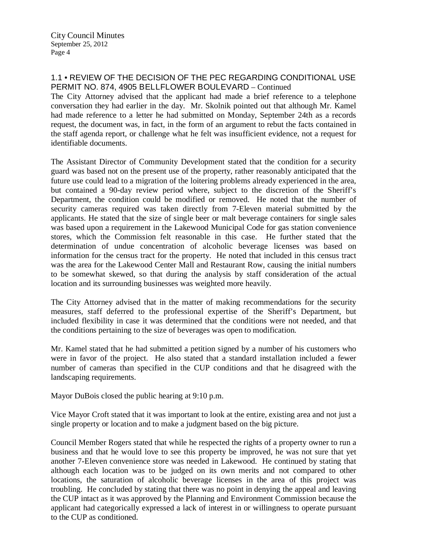# 1.1 • REVIEW OF THE DECISION OF THE PEC REGARDING CONDITIONAL USE PERMIT NO. 874, 4905 BELLFLOWER BOULEVARD – Continued

The City Attorney advised that the applicant had made a brief reference to a telephone conversation they had earlier in the day. Mr. Skolnik pointed out that although Mr. Kamel had made reference to a letter he had submitted on Monday, September 24th as a records request, the document was, in fact, in the form of an argument to rebut the facts contained in the staff agenda report, or challenge what he felt was insufficient evidence, not a request for identifiable documents.

The Assistant Director of Community Development stated that the condition for a security guard was based not on the present use of the property, rather reasonably anticipated that the future use could lead to a migration of the loitering problems already experienced in the area, but contained a 90-day review period where, subject to the discretion of the Sheriff's Department, the condition could be modified or removed. He noted that the number of security cameras required was taken directly from 7-Eleven material submitted by the applicants. He stated that the size of single beer or malt beverage containers for single sales was based upon a requirement in the Lakewood Municipal Code for gas station convenience stores, which the Commission felt reasonable in this case. He further stated that the determination of undue concentration of alcoholic beverage licenses was based on information for the census tract for the property. He noted that included in this census tract was the area for the Lakewood Center Mall and Restaurant Row, causing the initial numbers to be somewhat skewed, so that during the analysis by staff consideration of the actual location and its surrounding businesses was weighted more heavily.

The City Attorney advised that in the matter of making recommendations for the security measures, staff deferred to the professional expertise of the Sheriff's Department, but included flexibility in case it was determined that the conditions were not needed, and that the conditions pertaining to the size of beverages was open to modification.

Mr. Kamel stated that he had submitted a petition signed by a number of his customers who were in favor of the project. He also stated that a standard installation included a fewer number of cameras than specified in the CUP conditions and that he disagreed with the landscaping requirements.

Mayor DuBois closed the public hearing at 9:10 p.m.

Vice Mayor Croft stated that it was important to look at the entire, existing area and not just a single property or location and to make a judgment based on the big picture.

Council Member Rogers stated that while he respected the rights of a property owner to run a business and that he would love to see this property be improved, he was not sure that yet another 7-Eleven convenience store was needed in Lakewood. He continued by stating that although each location was to be judged on its own merits and not compared to other locations, the saturation of alcoholic beverage licenses in the area of this project was troubling. He concluded by stating that there was no point in denying the appeal and leaving the CUP intact as it was approved by the Planning and Environment Commission because the applicant had categorically expressed a lack of interest in or willingness to operate pursuant to the CUP as conditioned.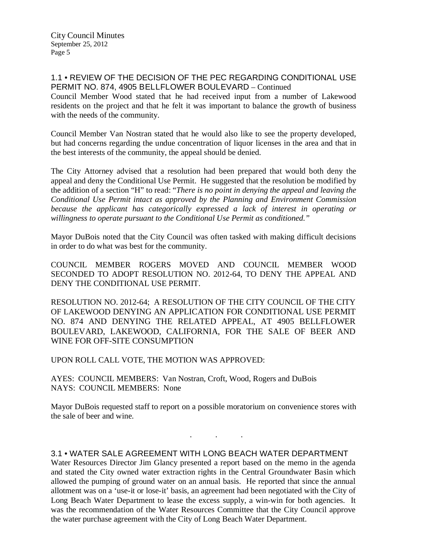## 1.1 • REVIEW OF THE DECISION OF THE PEC REGARDING CONDITIONAL USE PERMIT NO. 874, 4905 BELLFLOWER BOULEVARD – Continued

Council Member Wood stated that he had received input from a number of Lakewood residents on the project and that he felt it was important to balance the growth of business with the needs of the community.

Council Member Van Nostran stated that he would also like to see the property developed, but had concerns regarding the undue concentration of liquor licenses in the area and that in the best interests of the community, the appeal should be denied.

The City Attorney advised that a resolution had been prepared that would both deny the appeal and deny the Conditional Use Permit. He suggested that the resolution be modified by the addition of a section "H" to read: "*There is no point in denying the appeal and leaving the Conditional Use Permit intact as approved by the Planning and Environment Commission*  because the applicant has categorically expressed a lack of interest in operating or *willingness to operate pursuant to the Conditional Use Permit as conditioned."*

Mayor DuBois noted that the City Council was often tasked with making difficult decisions in order to do what was best for the community.

COUNCIL MEMBER ROGERS MOVED AND COUNCIL MEMBER WOOD SECONDED TO ADOPT RESOLUTION NO. 2012-64, TO DENY THE APPEAL AND DENY THE CONDITIONAL USE PERMIT.

RESOLUTION NO. 2012-64; A RESOLUTION OF THE CITY COUNCIL OF THE CITY OF LAKEWOOD DENYING AN APPLICATION FOR CONDITIONAL USE PERMIT NO. 874 AND DENYING THE RELATED APPEAL, AT 4905 BELLFLOWER BOULEVARD, LAKEWOOD, CALIFORNIA, FOR THE SALE OF BEER AND WINE FOR OFF-SITE CONSUMPTION

UPON ROLL CALL VOTE, THE MOTION WAS APPROVED:

AYES: COUNCIL MEMBERS: Van Nostran, Croft, Wood, Rogers and DuBois NAYS: COUNCIL MEMBERS: None

Mayor DuBois requested staff to report on a possible moratorium on convenience stores with the sale of beer and wine.

. . .

# 3.1 • WATER SALE AGREEMENT WITH LONG BEACH WATER DEPARTMENT

Water Resources Director Jim Glancy presented a report based on the memo in the agenda and stated the City owned water extraction rights in the Central Groundwater Basin which allowed the pumping of ground water on an annual basis. He reported that since the annual allotment was on a 'use-it or lose-it' basis, an agreement had been negotiated with the City of Long Beach Water Department to lease the excess supply, a win-win for both agencies. It was the recommendation of the Water Resources Committee that the City Council approve the water purchase agreement with the City of Long Beach Water Department.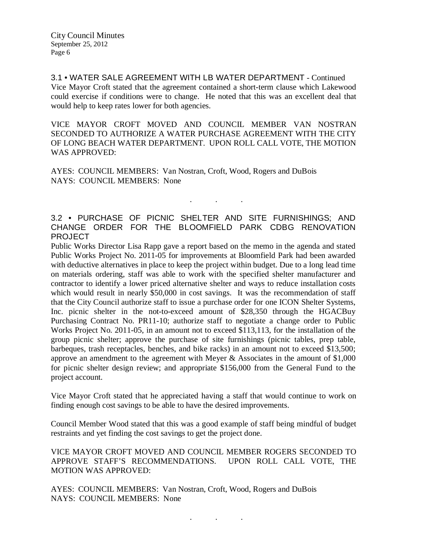3.1 • WATER SALE AGREEMENT WITH LB WATER DEPARTMENT - Continued Vice Mayor Croft stated that the agreement contained a short-term clause which Lakewood could exercise if conditions were to change. He noted that this was an excellent deal that would help to keep rates lower for both agencies.

VICE MAYOR CROFT MOVED AND COUNCIL MEMBER VAN NOSTRAN SECONDED TO AUTHORIZE A WATER PURCHASE AGREEMENT WITH THE CITY OF LONG BEACH WATER DEPARTMENT. UPON ROLL CALL VOTE, THE MOTION WAS APPROVED:

AYES: COUNCIL MEMBERS: Van Nostran, Croft, Wood, Rogers and DuBois NAYS: COUNCIL MEMBERS: None

# 3.2 • PURCHASE OF PICNIC SHELTER AND SITE FURNISHINGS; AND CHANGE ORDER FOR THE BLOOMFIELD PARK CDBG RENOVATION PROJECT

. . .

Public Works Director Lisa Rapp gave a report based on the memo in the agenda and stated Public Works Project No. 2011-05 for improvements at Bloomfield Park had been awarded with deductive alternatives in place to keep the project within budget. Due to a long lead time on materials ordering, staff was able to work with the specified shelter manufacturer and contractor to identify a lower priced alternative shelter and ways to reduce installation costs which would result in nearly \$50,000 in cost savings. It was the recommendation of staff that the City Council authorize staff to issue a purchase order for one ICON Shelter Systems, Inc. picnic shelter in the not-to-exceed amount of \$28,350 through the HGACBuy Purchasing Contract No. PR11-10; authorize staff to negotiate a change order to Public Works Project No. 2011-05, in an amount not to exceed \$113,113, for the installation of the group picnic shelter; approve the purchase of site furnishings (picnic tables, prep table, barbeques, trash receptacles, benches, and bike racks) in an amount not to exceed \$13,500; approve an amendment to the agreement with Meyer & Associates in the amount of \$1,000 for picnic shelter design review; and appropriate \$156,000 from the General Fund to the project account.

Vice Mayor Croft stated that he appreciated having a staff that would continue to work on finding enough cost savings to be able to have the desired improvements.

Council Member Wood stated that this was a good example of staff being mindful of budget restraints and yet finding the cost savings to get the project done.

VICE MAYOR CROFT MOVED AND COUNCIL MEMBER ROGERS SECONDED TO APPROVE STAFF'S RECOMMENDATIONS. UPON ROLL CALL VOTE, THE MOTION WAS APPROVED:

. . .

AYES: COUNCIL MEMBERS: Van Nostran, Croft, Wood, Rogers and DuBois NAYS: COUNCIL MEMBERS: None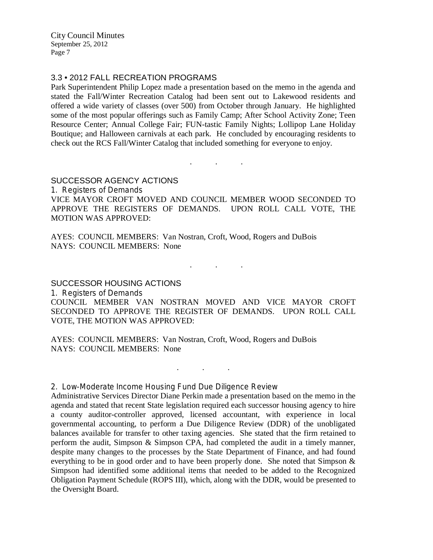City Council Minutes September 25, 2012 Page 7

## 3.3 • 2012 FALL RECREATION PROGRAMS

Park Superintendent Philip Lopez made a presentation based on the memo in the agenda and stated the Fall/Winter Recreation Catalog had been sent out to Lakewood residents and offered a wide variety of classes (over 500) from October through January. He highlighted some of the most popular offerings such as Family Camp; After School Activity Zone; Teen Resource Center; Annual College Fair; FUN-tastic Family Nights; Lollipop Lane Holiday Boutique; and Halloween carnivals at each park. He concluded by encouraging residents to check out the RCS Fall/Winter Catalog that included something for everyone to enjoy.

## SUCCESSOR AGENCY ACTIONS

1. Registers of Demands

VICE MAYOR CROFT MOVED AND COUNCIL MEMBER WOOD SECONDED TO APPROVE THE REGISTERS OF DEMANDS. UPON ROLL CALL VOTE, THE MOTION WAS APPROVED:

. . .

AYES: COUNCIL MEMBERS: Van Nostran, Croft, Wood, Rogers and DuBois NAYS: COUNCIL MEMBERS: None

. . .

## SUCCESSOR HOUSING ACTIONS

1. Registers of Demands

COUNCIL MEMBER VAN NOSTRAN MOVED AND VICE MAYOR CROFT SECONDED TO APPROVE THE REGISTER OF DEMANDS. UPON ROLL CALL VOTE, THE MOTION WAS APPROVED:

AYES: COUNCIL MEMBERS: Van Nostran, Croft, Wood, Rogers and DuBois NAYS: COUNCIL MEMBERS: None

. . .

## 2. Low-Moderate Income Housing Fund Due Diligence Review

Administrative Services Director Diane Perkin made a presentation based on the memo in the agenda and stated that recent State legislation required each successor housing agency to hire a county auditor-controller approved, licensed accountant, with experience in local governmental accounting, to perform a Due Diligence Review (DDR) of the unobligated balances available for transfer to other taxing agencies. She stated that the firm retained to perform the audit, Simpson & Simpson CPA, had completed the audit in a timely manner, despite many changes to the processes by the State Department of Finance, and had found everything to be in good order and to have been properly done. She noted that Simpson & Simpson had identified some additional items that needed to be added to the Recognized Obligation Payment Schedule (ROPS III), which, along with the DDR, would be presented to the Oversight Board.